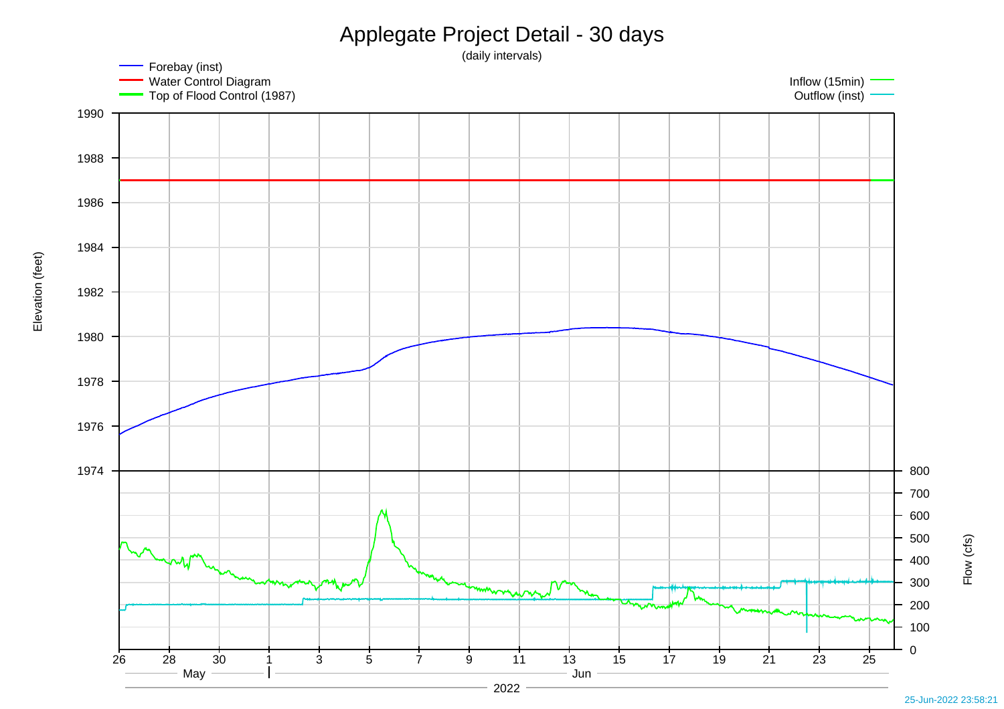

Elevation (feet) Elevation (feet)

Flow (cfs)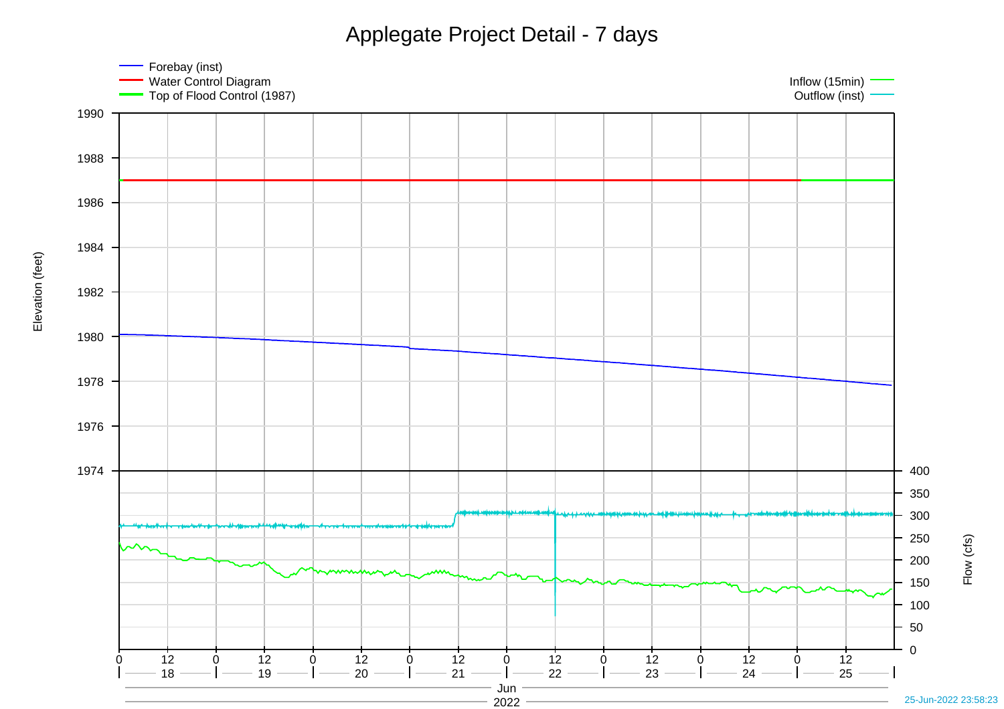Applegate Project Detail - 7 days



Elevation (feet) Elevation (feet)

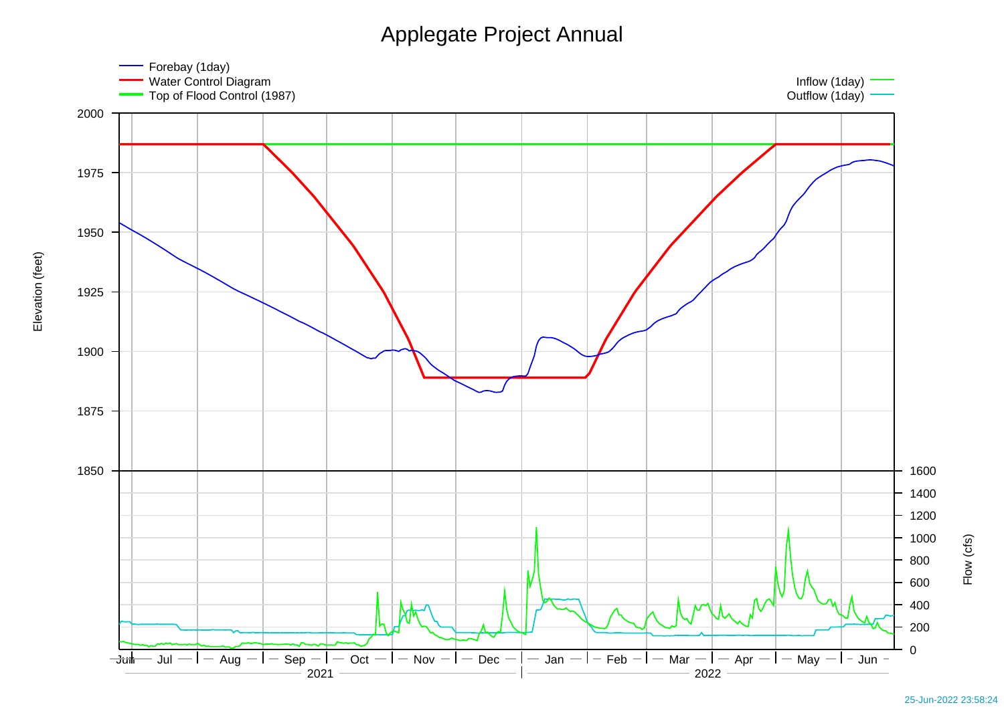## Applegate Project Annual



25-Jun-2022 23:58:24

Flow (cfs)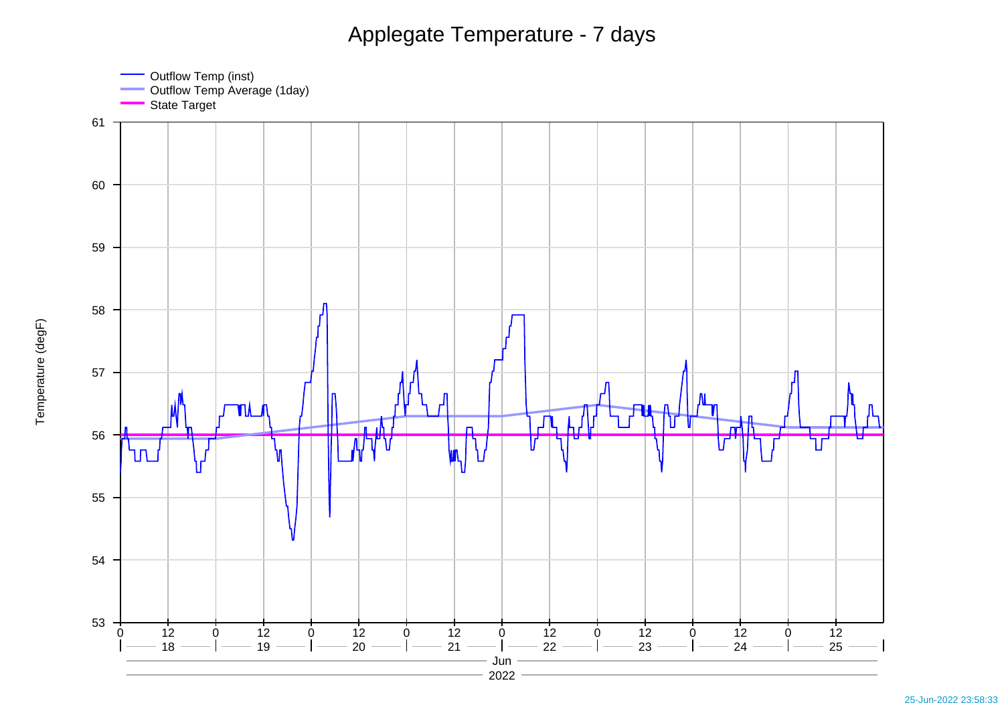## Applegate Temperature - 7 days

Outflow Temp (inst) Outflow Temp Average (1day)



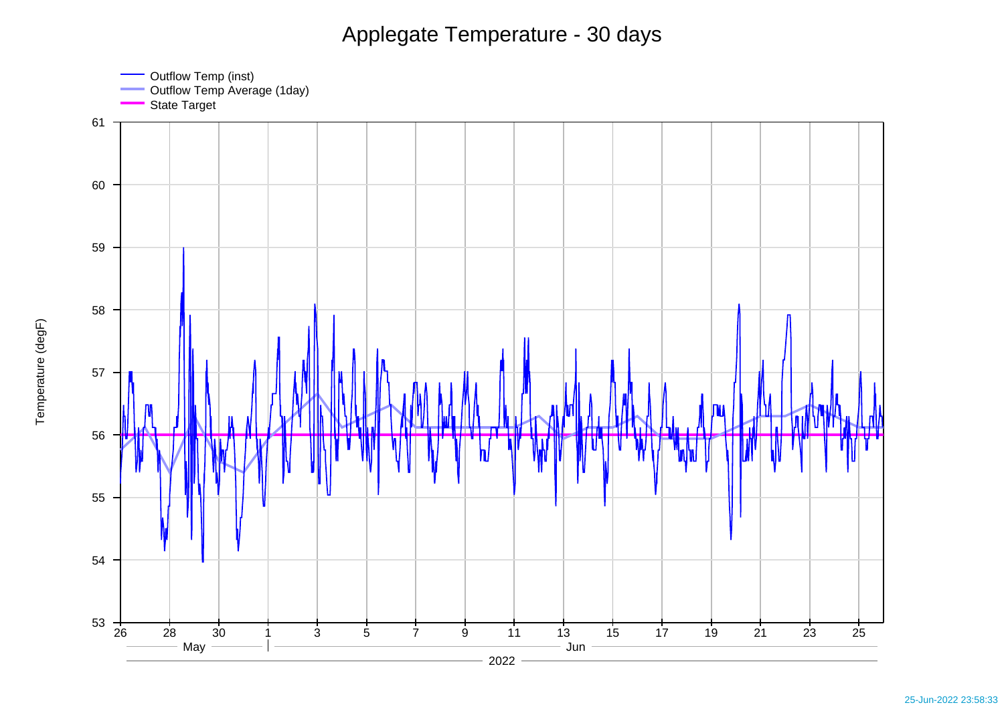## Applegate Temperature - 30 days

Outflow Temp (inst) Outflow Temp Average (1day)



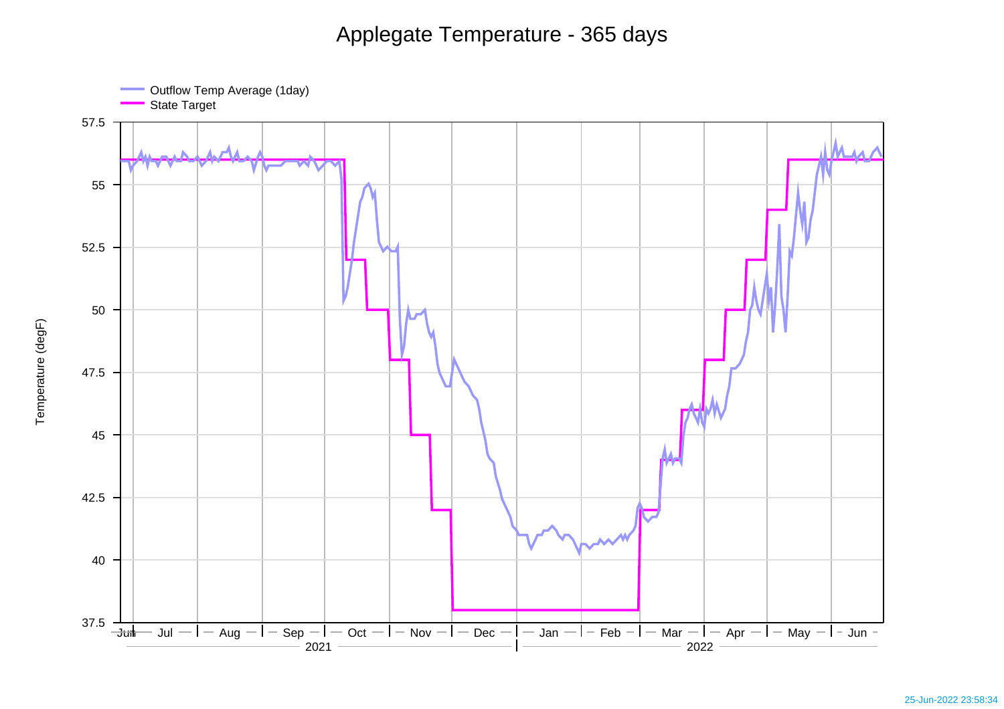## Applegate Temperature - 365 days

Outflow Temp Average (1day)